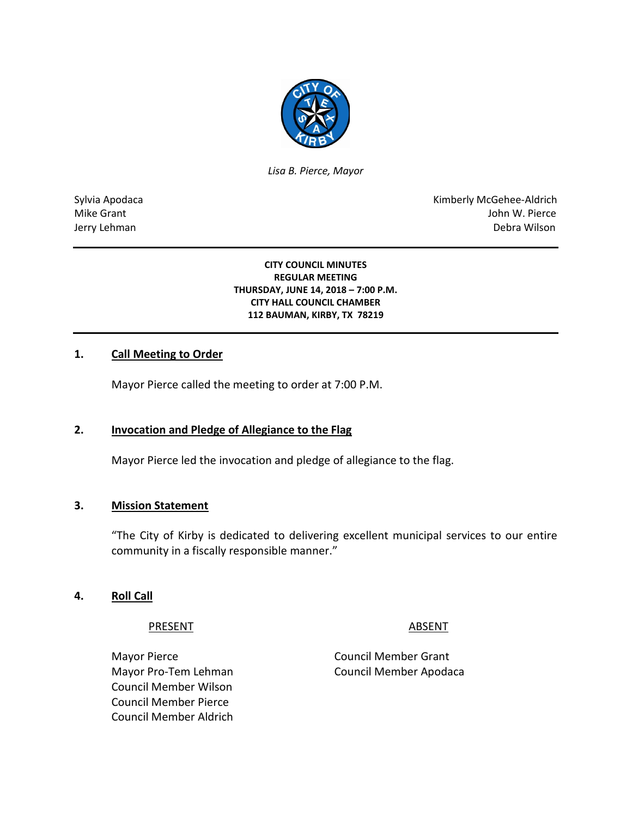

*Lisa B. Pierce, Mayor* 

Sylvia Apodaca National American Communication of the Communication of the Kimberly McGehee-Aldrich Mike Grant John W. Pierce Jerry Lehman Debra Wilson

#### **CITY COUNCIL MINUTES REGULAR MEETING THURSDAY, JUNE 14, 2018 – 7:00 P.M. CITY HALL COUNCIL CHAMBER 112 BAUMAN, KIRBY, TX 78219**

### **1. Call Meeting to Order**

Mayor Pierce called the meeting to order at 7:00 P.M.

## **2. Invocation and Pledge of Allegiance to the Flag**

Mayor Pierce led the invocation and pledge of allegiance to the flag.

#### **3. Mission Statement**

"The City of Kirby is dedicated to delivering excellent municipal services to our entire community in a fiscally responsible manner."

#### **4. Roll Call**

PRESENT ABSENT

Mayor Pierce **Council Member Grant** Council Member Wilson Council Member Pierce Council Member Aldrich

Mayor Pro-Tem Lehman Council Member Apodaca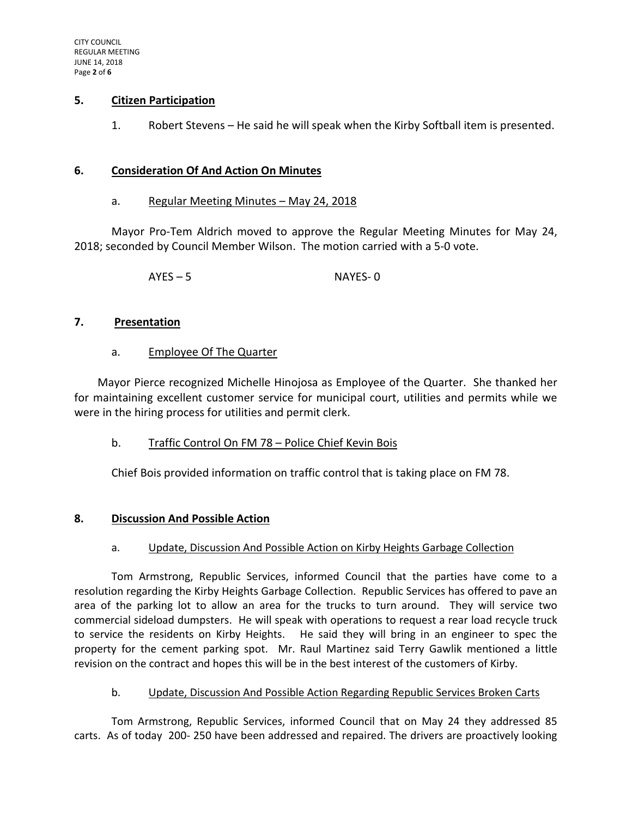### **5. Citizen Participation**

1. Robert Stevens – He said he will speak when the Kirby Softball item is presented.

#### **6. Consideration Of And Action On Minutes**

### a. Regular Meeting Minutes - May 24, 2018

Mayor Pro-Tem Aldrich moved to approve the Regular Meeting Minutes for May 24, 2018; seconded by Council Member Wilson. The motion carried with a 5-0 vote.

AYES – 5 NAYES- 0

#### **7. Presentation**

### a. Employee Of The Quarter

Mayor Pierce recognized Michelle Hinojosa as Employee of the Quarter. She thanked her for maintaining excellent customer service for municipal court, utilities and permits while we were in the hiring process for utilities and permit clerk.

### b. Traffic Control On FM 78 – Police Chief Kevin Bois

Chief Bois provided information on traffic control that is taking place on FM 78.

### **8. Discussion And Possible Action**

#### a. Update, Discussion And Possible Action on Kirby Heights Garbage Collection

Tom Armstrong, Republic Services, informed Council that the parties have come to a resolution regarding the Kirby Heights Garbage Collection. Republic Services has offered to pave an area of the parking lot to allow an area for the trucks to turn around. They will service two commercial sideload dumpsters. He will speak with operations to request a rear load recycle truck to service the residents on Kirby Heights. He said they will bring in an engineer to spec the property for the cement parking spot. Mr. Raul Martinez said Terry Gawlik mentioned a little revision on the contract and hopes this will be in the best interest of the customers of Kirby.

### b. Update, Discussion And Possible Action Regarding Republic Services Broken Carts

Tom Armstrong, Republic Services, informed Council that on May 24 they addressed 85 carts. As of today 200- 250 have been addressed and repaired. The drivers are proactively looking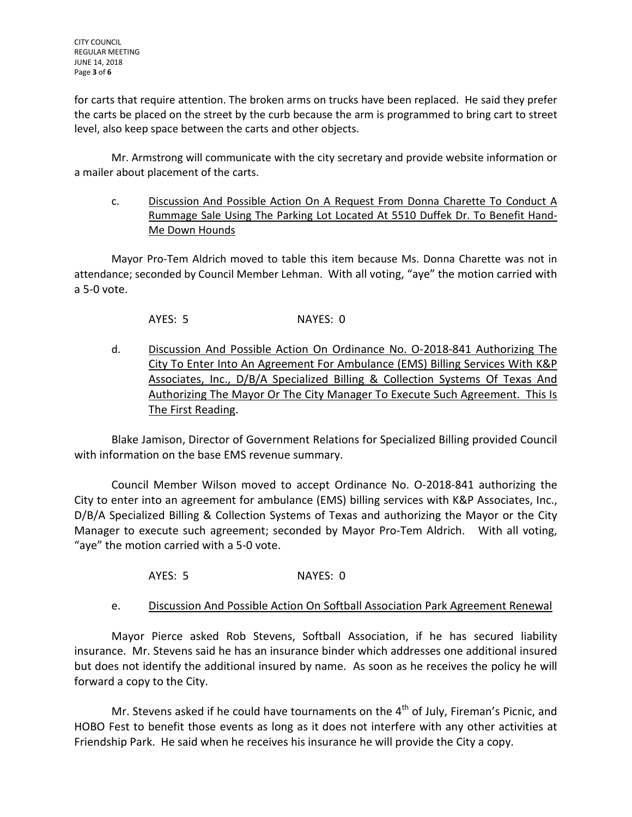for carts that require attention. The broken arms on trucks have been replaced. He said they prefer the carts be placed on the street by the curb because the arm is programmed to bring cart to street level, also keep space between the carts and other objects.

Mr. Armstrong will communicate with the city secretary and provide website information or a mailer about placement of the carts.

c. Discussion And Possible Action On A Request From Donna Charette To Conduct A Rummage Sale Using The Parking Lot Located At 5510 Duffek Dr. To Benefit Hand-Me Down Hounds

Mayor Pro-Tem Aldrich moved to table this item because Ms. Donna Charette was not in attendance; seconded by Council Member Lehman. With all voting, "aye" the motion carried with a 5-0 vote.

AYES: 5 NAYES: 0

d. Discussion And Possible Action On Ordinance No. O-2018-841 Authorizing The City To Enter Into An Agreement For Ambulance (EMS) Billing Services With K&P Associates, Inc., D/B/A Specialized Billing & Collection Systems Of Texas And Authorizing The Mayor Or The City Manager To Execute Such Agreement. This Is The First Reading.

Blake Jamison, Director of Government Relations for Specialized Billing provided Council with information on the base EMS revenue summary.

Council Member Wilson moved to accept Ordinance No. O-2018-841 authorizing the City to enter into an agreement for ambulance (EMS) billing services with K&P Associates, Inc., D/B/A Specialized Billing & Collection Systems of Texas and authorizing the Mayor or the City Manager to execute such agreement; seconded by Mayor Pro-Tem Aldrich. With all voting, "aye" the motion carried with a 5-0 vote.

AYES: 5 NAYES: 0

e. Discussion And Possible Action On Softball Association Park Agreement Renewal

Mayor Pierce asked Rob Stevens, Softball Association, if he has secured liability insurance. Mr. Stevens said he has an insurance binder which addresses one additional insured but does not identify the additional insured by name. As soon as he receives the policy he will forward a copy to the City.

Mr. Stevens asked if he could have tournaments on the  $4<sup>th</sup>$  of July, Fireman's Picnic, and HOBO Fest to benefit those events as long as it does not interfere with any other activities at Friendship Park. He said when he receives his insurance he will provide the City a copy.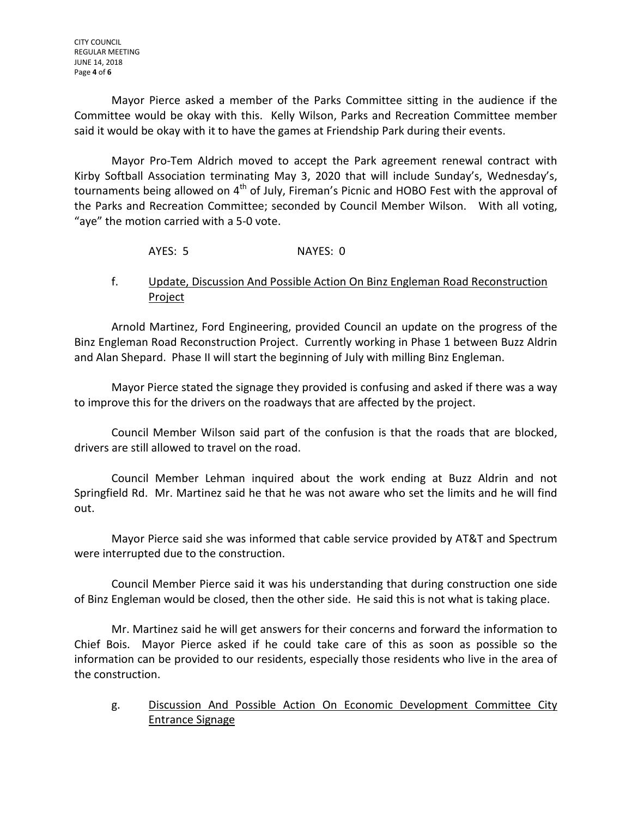Mayor Pierce asked a member of the Parks Committee sitting in the audience if the Committee would be okay with this. Kelly Wilson, Parks and Recreation Committee member said it would be okay with it to have the games at Friendship Park during their events.

Mayor Pro-Tem Aldrich moved to accept the Park agreement renewal contract with Kirby Softball Association terminating May 3, 2020 that will include Sunday's, Wednesday's, tournaments being allowed on  $4<sup>th</sup>$  of July, Fireman's Picnic and HOBO Fest with the approval of the Parks and Recreation Committee; seconded by Council Member Wilson. With all voting, "aye" the motion carried with a 5-0 vote.

# AYES: 5 NAYES: 0

# f. Update, Discussion And Possible Action On Binz Engleman Road Reconstruction Project

Arnold Martinez, Ford Engineering, provided Council an update on the progress of the Binz Engleman Road Reconstruction Project. Currently working in Phase 1 between Buzz Aldrin and Alan Shepard. Phase II will start the beginning of July with milling Binz Engleman.

Mayor Pierce stated the signage they provided is confusing and asked if there was a way to improve this for the drivers on the roadways that are affected by the project.

Council Member Wilson said part of the confusion is that the roads that are blocked, drivers are still allowed to travel on the road.

Council Member Lehman inquired about the work ending at Buzz Aldrin and not Springfield Rd. Mr. Martinez said he that he was not aware who set the limits and he will find out.

Mayor Pierce said she was informed that cable service provided by AT&T and Spectrum were interrupted due to the construction.

Council Member Pierce said it was his understanding that during construction one side of Binz Engleman would be closed, then the other side. He said this is not what is taking place.

Mr. Martinez said he will get answers for their concerns and forward the information to Chief Bois. Mayor Pierce asked if he could take care of this as soon as possible so the information can be provided to our residents, especially those residents who live in the area of the construction.

g. Discussion And Possible Action On Economic Development Committee City Entrance Signage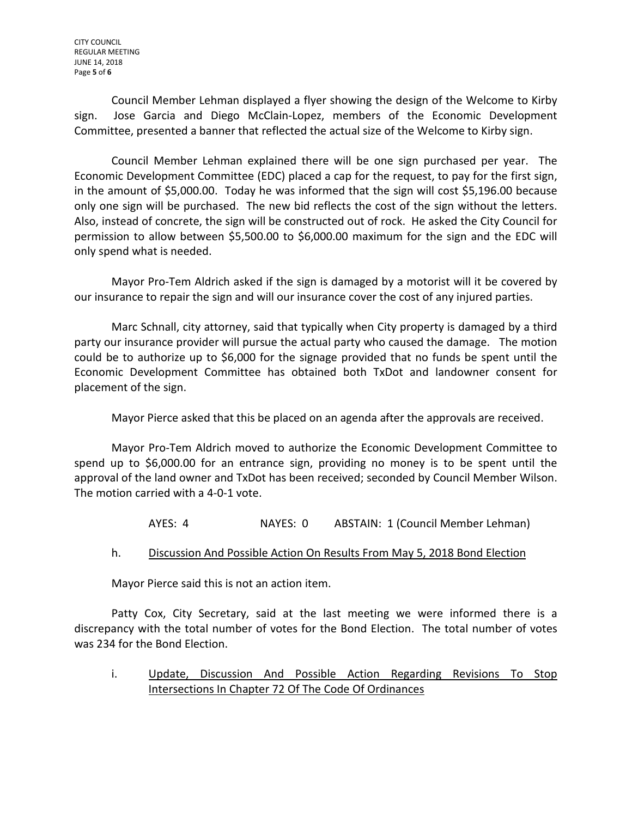Council Member Lehman displayed a flyer showing the design of the Welcome to Kirby sign. Jose Garcia and Diego McClain-Lopez, members of the Economic Development Committee, presented a banner that reflected the actual size of the Welcome to Kirby sign.

Council Member Lehman explained there will be one sign purchased per year. The Economic Development Committee (EDC) placed a cap for the request, to pay for the first sign, in the amount of \$5,000.00. Today he was informed that the sign will cost \$5,196.00 because only one sign will be purchased. The new bid reflects the cost of the sign without the letters. Also, instead of concrete, the sign will be constructed out of rock. He asked the City Council for permission to allow between \$5,500.00 to \$6,000.00 maximum for the sign and the EDC will only spend what is needed.

Mayor Pro-Tem Aldrich asked if the sign is damaged by a motorist will it be covered by our insurance to repair the sign and will our insurance cover the cost of any injured parties.

Marc Schnall, city attorney, said that typically when City property is damaged by a third party our insurance provider will pursue the actual party who caused the damage. The motion could be to authorize up to \$6,000 for the signage provided that no funds be spent until the Economic Development Committee has obtained both TxDot and landowner consent for placement of the sign.

Mayor Pierce asked that this be placed on an agenda after the approvals are received.

Mayor Pro-Tem Aldrich moved to authorize the Economic Development Committee to spend up to \$6,000.00 for an entrance sign, providing no money is to be spent until the approval of the land owner and TxDot has been received; seconded by Council Member Wilson. The motion carried with a 4-0-1 vote.

AYES: 4 NAYES: 0 ABSTAIN: 1 (Council Member Lehman)

# h. Discussion And Possible Action On Results From May 5, 2018 Bond Election

Mayor Pierce said this is not an action item.

Patty Cox, City Secretary, said at the last meeting we were informed there is a discrepancy with the total number of votes for the Bond Election. The total number of votes was 234 for the Bond Election.

i. Update, Discussion And Possible Action Regarding Revisions To Stop Intersections In Chapter 72 Of The Code Of Ordinances